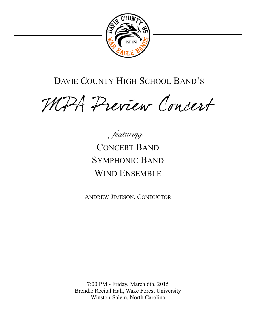

# DAVIE COUNTY HIGH SCHOOL BAND'S

MPA Preview Concert

*featuring*  CONCERT BAND SYMPHONIC BAND WIND ENSEMBLE

ANDREW JIMESON, CONDUCTOR

7:00 PM - Friday, March 6th, 2015 Brendle Recital Hall, Wake Forest University Winston-Salem, North Carolina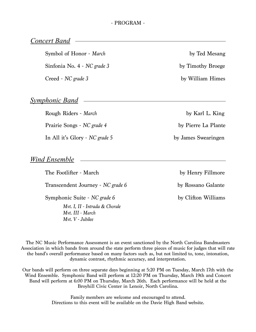# *Concert Band*

Symbol of Honor - *March* by Ted Mesang

Sinfonia No. 4 - *NC grade 3* by Timothy Broege

Creed - *NC grade 3* by William Himes

# *Symphonic Band*

Rough Riders - *March* by Karl L. King Prairie Songs - *NC grade 4* by Pierre La Plante In All it's Glory - *NC grade* 5 by James Swearingen

# *Wind Ensemble*

The Footlifter - March by Henry Fillmore

Transcendent Journey - *NC grade 6* by Rossano Galante

Symphonic Suite - *NC grade 6* by Clifton Williams

*Mvt. I, II - Intrada & Chorale Mvt. III - March Mvt. V - Jubilee* 

The NC Music Performance Assessment is an event sanctioned by the North Carolina Bandmasters Association in which bands from around the state perform three pieces of music for judges that will rate the band's overall performance based on many factors such as, but not limited to, tone, intonation, dynamic contrast, rhythmic accuracy, and interpretation.

Our bands will perform on three separate days beginning at 5:20 PM on Tuesday, March 17th with the Wind Ensemble. Symphonic Band will perform at 12:20 PM on Thursday, March 19th and Concert Band will perform at 6:00 PM on Thursday, March 26th. Each performance will be held at the Broyhill Civic Center in Lenoir, North Carolina.

> Family members are welcome and encouraged to attend. Directions to this event will be available on the Davie High Band website.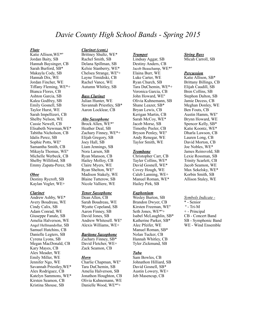# *Davie County High School Bands - Spring 2015*

#### *Flute*

Katie Allison,WE\*º Jordan Baity, SB Hannah Baysinger, CB Sarah Burford, SB\* Makayla Cody, SB Hannah Dix, WE Jordan Fincher, WE Tiffany Fleming, WE\*+ Bianca Flores, CB Ashton Garcia, SB Kalea Godfrey, SB Emily Gosnell, SB Taylor Hurst, WE Sarah Impellizeri, CB Shelby Nelson, WE Cassie Newell, CB Elisabeth Newman,WE\* Tabitha Nicholson, CB Idalis Perez, SB Sophie Potts, WEº Samantha Smith, CB Mikayla Thomas, WEº Michelle Werbeck, CB Shelby Williford, SB Emmy Zapata-Perez, SB

### *Oboe*

Destiny Rycroft, SB Kaylan Vogler, WE+

#### *Clarinet*

Andrew Ashby, WE\* Avery Boudreau, WE Cindy Calix, SB Adam Conrad, WE Giuseppe Fanale, SB Amelia Halverson, WE Angel Hellmandollar, SB Samuel Hutchins, CB Danielle Legters, SB Cyrena Lyons, SB Megan MacDonald, CB Kary Mayes, CB Alex Meader, WE Emily Miller, WE Jennifer Ngo, WE Savannah Priestley,WE\* Alex Rodriguez, CB Katelyn Sammons, WE\* Kirsten Seamon, CB Kristina Shouse, SB

# *Clarinet (cont.)*

Brittney Shultz, WE\* Rachel Smith, SB Delana Spillman, SB Kelsie Stanberry, WE\* Chelsea Strange, WEº+ Layne Timidiski, CB Rachel Vance, WE Autumn Whitley, SB

# *Bass Clarinet*

Julian Hunter, WE Savannah Priestley, SB\* Aaron Locklear, CB

#### *Alto Saxophone*

Brock Allen, WE\*º Heather Deal, SB Zachary Finney, WE\*+ Elijah Gregory, SB Joey Hall, SB Liam Jennings, SB Nora Larsen, SB Ryan Manson, CB Hailey Molloy, CB Claire Myers, WE Ryan Shelton, WEº Madison Stakely, WE Blaine Tutterow, SB Nicole Valliere, WE

# *Tenor Saxophone*

Dean Allen, CB Sarah Boudreau, WE Wyatte Copeland, SB Aaron Finney, SB David Jones, SB Andrew Whitesell. WEº Alexis Williams, WE+

# *Baritone Saxophone*

Zachary Finney, SB\* David Fletcher, WE+ Zack Seamon, CB

### *Horn*

Charlie Chapman, WEº Tara DuChemin, SB Amelia Halverson, SB Jonathon Houghton, CB Olivia Kuhnemann, WE Danielle Wood, WE\*º+

### *Trumpet*

Lindsay Aggar, SB Destiny Anders, CB Jacob Beauchamp, WE\*º Elaina Burr, WE Luke Carter, WE Ryan Church, SB Tara DuChemin, WE\*+ Veronica Garcia, CB John Howard, WEº Olivia Kuhnemann, SB Shane Leazer, SB\* Bryan Lewis, CB Kerigan Martin, CB Sarah McCoy, WE\* Jacob Morse, SB Timothy Peeler, CB Bryson Penley, WEº Andy Renegar, WE Taylor Smith, WE

# *Trombone*

Christopher Carr, CB Tayler Collins, WE\* David Gosnell, WE\* Covey Hough, WE Caleb Lanning, WE+ Manuel Roman, WE\* Hailey Pirk, SB

### *Euphonium*

Wesley Burton, SB Brandon Dwyer, CB Kirsten Freeman, WEº Seth Jones, WE\*º+ Isabel McLaughlin, SB\* Katherine Parker, SB\* Alec Pfeifer, WE Manuel Roman, SB\* Nolan Tucker, CB Hannah Whitley, CB Tyler Zickmund, SB

### *Tuba*

Sam Bowles, CB Johnathon Hilliard, SB David Gosnell, SB\* Austin Lowery, WE+ Jeb Masencup, CB

### *String Bass*  Micah Carroll, SB

# *Percussion*

Katie Allison, SB\* Brittany Billings, CB Elijah Caudill, SB Bren Collins, SB Stephon Dalton, SB Jamie Decess, CB Meghan Donley, WE Ben Fouts, CB Austin Hamm, WEº Brynn Howard, WE Spencer Kelly, SB\* Katie Koontz, WE\* Dharla Lawson, CB Lauren Long, CB David Morton, CB Joe Nobles, WE\* James Reinsvold, SB Lexie Rossman, SB Trinity Scarlett, CB Jacob Seamon, WE Max Sekelsky, WE\* Korbin Smith, SB Allison Staley, WE

#### *Symbols Indicate -*

\* - Senior  $^{\circ}$  - Tri-M + - Principal CB - Concert Band SB - Symphonic Band WE - Wind Ensemble